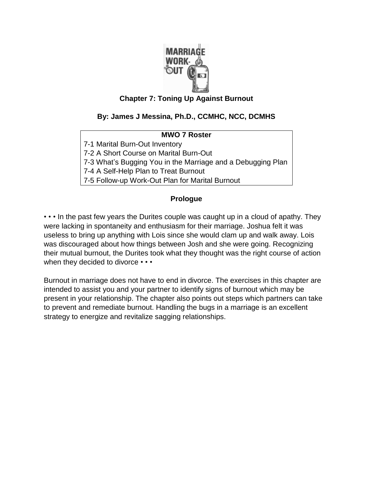

### **Chapter 7: Toning Up Against Burnout**

### **By: James J Messina, Ph.D., CCMHC, NCC, DCMHS**

### **MWO 7 Roster**

7-1 Marital Burn-Out Inventory

7-2 A Short Course on Marital Burn-Out

7-3 What's Bugging You in the Marriage and a Debugging Plan

7-4 A Self-Help Plan to Treat Burnout

7-5 Follow-up Work-Out Plan for Marital Burnout

#### **Prologue**

• • • In the past few years the Durites couple was caught up in a cloud of apathy. They were lacking in spontaneity and enthusiasm for their marriage. Joshua felt it was useless to bring up anything with Lois since she would clam up and walk away. Lois was discouraged about how things between Josh and she were going. Recognizing their mutual burnout, the Durites took what they thought was the right course of action when they decided to divorce  $\cdots$ 

Burnout in marriage does not have to end in divorce. The exercises in this chapter are intended to assist you and your partner to identify signs of burnout which may be present in your relationship. The chapter also points out steps which partners can take to prevent and remediate burnout. Handling the bugs in a marriage is an excellent strategy to energize and revitalize sagging relationships.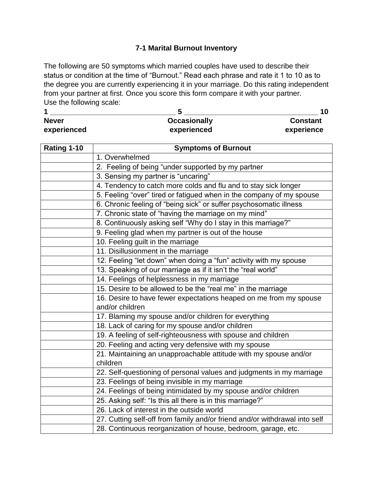### **7-1 Marital Burnout Inventory**

The following are 50 symptoms which married couples have used to describe their status or condition at the time of "Burnout." Read each phrase and rate it 1 to 10 as to the degree you are currently experiencing it in your marriage. Do this rating independent from your partner at first. Once you score this form compare it with your partner. Use the following scale:

| <b>Never</b> | <b>Occasionally</b> | <b>Constant</b> |  |
|--------------|---------------------|-----------------|--|
| experienced  | experienced         | experience      |  |

| Rating 1-10 | <b>Symptoms of Burnout</b>                                                 |
|-------------|----------------------------------------------------------------------------|
|             | 1. Overwhelmed                                                             |
|             | 2. Feeling of being "under supported by my partner                         |
|             | 3. Sensing my partner is "uncaring"                                        |
|             | 4. Tendency to catch more colds and flu and to stay sick longer            |
|             | 5. Feeling "over" tired or fatigued when in the company of my spouse       |
|             | 6. Chronic feeling of "being sick" or suffer psychosomatic illness         |
|             | 7. Chronic state of "having the marriage on my mind"                       |
|             | 8. Continuously asking self "Why do I stay in this marriage?"              |
|             | 9. Feeling glad when my partner is out of the house                        |
|             | 10. Feeling guilt in the marriage                                          |
|             | 11. Disillusionment in the marriage                                        |
|             | 12. Feeling "let down" when doing a "fun" activity with my spouse          |
|             | 13. Speaking of our marriage as if it isn't the "real world"               |
|             | 14. Feelings of helplessness in my marriage                                |
|             | 15. Desire to be allowed to be the "real me" in the marriage               |
|             | 16. Desire to have fewer expectations heaped on me from my spouse          |
|             | and/or children                                                            |
|             | 17. Blaming my spouse and/or children for everything                       |
|             | 18. Lack of caring for my spouse and/or children                           |
|             | 19. A feeling of self-righteousness with spouse and children               |
|             | 20. Feeling and acting very defensive with my spouse                       |
|             | 21. Maintaining an unapproachable attitude with my spouse and/or           |
|             | children                                                                   |
|             | 22. Self-questioning of personal values and judgments in my marriage       |
|             | 23. Feelings of being invisible in my marriage                             |
|             | 24. Feelings of being intimidated by my spouse and/or children             |
|             | 25. Asking self: "Is this all there is in this marriage?"                  |
|             | 26. Lack of interest in the outside world                                  |
|             | 27. Cutting self-off from family and/or friend and/or withdrawal into self |
|             | 28. Continuous reorganization of house, bedroom, garage, etc.              |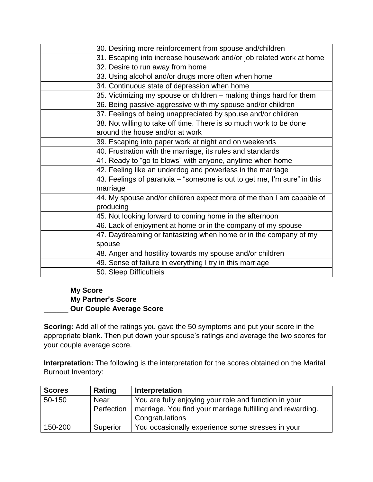| 30. Desiring more reinforcement from spouse and/children                            |
|-------------------------------------------------------------------------------------|
| 31. Escaping into increase housework and/or job related work at home                |
| 32. Desire to run away from home                                                    |
| 33. Using alcohol and/or drugs more often when home                                 |
| 34. Continuous state of depression when home                                        |
| 35. Victimizing my spouse or children - making things hard for them                 |
| 36. Being passive-aggressive with my spouse and/or children                         |
| 37. Feelings of being unappreciated by spouse and/or children                       |
| 38. Not willing to take off time. There is so much work to be done                  |
| around the house and/or at work                                                     |
| 39. Escaping into paper work at night and on weekends                               |
| 40. Frustration with the marriage, its rules and standards                          |
| 41. Ready to "go to blows" with anyone, anytime when home                           |
| 42. Feeling like an underdog and powerless in the marriage                          |
| 43. Feelings of paranoia – "someone is out to get me, I'm sure" in this<br>marriage |
| 44. My spouse and/or children expect more of me than I am capable of                |
| producing                                                                           |
| 45. Not looking forward to coming home in the afternoon                             |
| 46. Lack of enjoyment at home or in the company of my spouse                        |
| 47. Daydreaming or fantasizing when home or in the company of my                    |
| spouse                                                                              |
| 48. Anger and hostility towards my spouse and/or children                           |
| 49. Sense of failure in everything I try in this marriage                           |
| 50. Sleep Difficultieis                                                             |

## \_\_\_\_\_\_ **My Score** \_\_\_\_\_\_ **My Partner's Score** \_\_\_\_\_\_ **Our Couple Average Score**

**Scoring:** Add all of the ratings you gave the 50 symptoms and put your score in the appropriate blank. Then put down your spouse's ratings and average the two scores for your couple average score.

**Interpretation:** The following is the interpretation for the scores obtained on the Marital Burnout Inventory:

| <b>Scores</b> | Rating     | Interpretation                                             |
|---------------|------------|------------------------------------------------------------|
| 50-150        | Near       | You are fully enjoying your role and function in your      |
|               | Perfection | marriage. You find your marriage fulfilling and rewarding. |
|               |            | Congratulations                                            |
| 150-200       | Superior   | You occasionally experience some stresses in your          |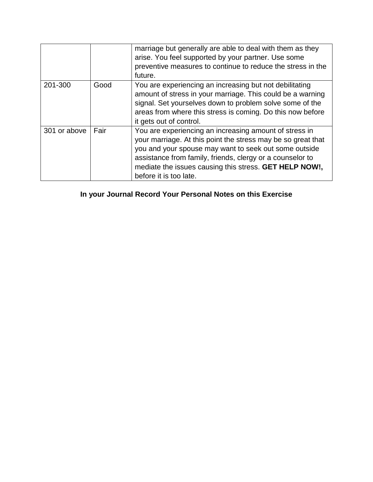|              |      | marriage but generally are able to deal with them as they<br>arise. You feel supported by your partner. Use some<br>preventive measures to continue to reduce the stress in the<br>future.                                                                                                                                       |
|--------------|------|----------------------------------------------------------------------------------------------------------------------------------------------------------------------------------------------------------------------------------------------------------------------------------------------------------------------------------|
| 201-300      | Good | You are experiencing an increasing but not debilitating<br>amount of stress in your marriage. This could be a warning<br>signal. Set yourselves down to problem solve some of the<br>areas from where this stress is coming. Do this now before<br>it gets out of control.                                                       |
| 301 or above | Fair | You are experiencing an increasing amount of stress in<br>your marriage. At this point the stress may be so great that<br>you and your spouse may want to seek out some outside<br>assistance from family, friends, clergy or a counselor to<br>mediate the issues causing this stress. GET HELP NOW!,<br>before it is too late. |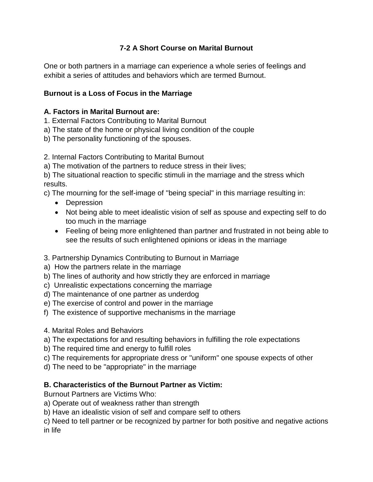## **7-2 A Short Course on Marital Burnout**

One or both partners in a marriage can experience a whole series of feelings and exhibit a series of attitudes and behaviors which are termed Burnout.

## **Burnout is a Loss of Focus in the Marriage**

## **A. Factors in Marital Burnout are:**

- 1. External Factors Contributing to Marital Burnout
- a) The state of the home or physical living condition of the couple
- b) The personality functioning of the spouses.
- 2. Internal Factors Contributing to Marital Burnout
- a) The motivation of the partners to reduce stress in their lives;

b) The situational reaction to specific stimuli in the marriage and the stress which results.

c) The mourning for the self-image of ''being special" in this marriage resulting in:

- Depression
- Not being able to meet idealistic vision of self as spouse and expecting self to do too much in the marriage
- Feeling of being more enlightened than partner and frustrated in not being able to see the results of such enlightened opinions or ideas in the marriage
- 3. Partnership Dynamics Contributing to Burnout in Marriage
- a) How the partners relate in the marriage
- b) The lines of authority and how strictly they are enforced in marriage
- c) Unrealistic expectations concerning the marriage
- d) The maintenance of one partner as underdog
- e) The exercise of control and power in the marriage
- f) The existence of supportive mechanisms in the marriage
- 4. Marital Roles and Behaviors
- a) The expectations for and resulting behaviors in fulfilling the role expectations
- b) The required time and energy to fulfill roles
- c) The requirements for appropriate dress or ''uniform" one spouse expects of other
- d) The need to be "appropriate" in the marriage

## **B. Characteristics of the Burnout Partner as Victim:**

Burnout Partners are Victims Who:

- a) Operate out of weakness rather than strength
- b) Have an idealistic vision of self and compare self to others
- c) Need to tell partner or be recognized by partner for both positive and negative actions in life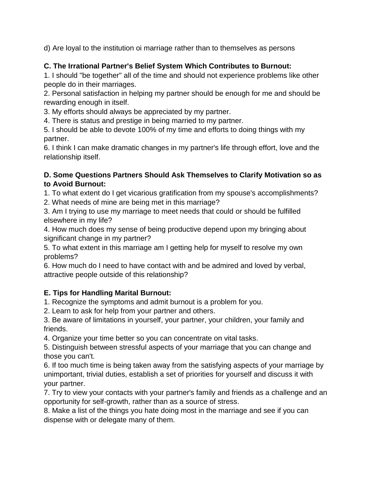d) Are loyal to the institution oi marriage rather than to themselves as persons

# **C. The Irrational Partner's Belief System Which Contributes to Burnout:**

1. I should "be together" all of the time and should not experience problems like other people do in their marriages.

2. Personal satisfaction in helping my partner should be enough for me and should be rewarding enough in itself.

3. My efforts should always be appreciated by my partner.

4. There is status and prestige in being married to my partner.

5. I should be able to devote 100% of my time and efforts to doing things with my partner.

6. I think I can make dramatic changes in my partner's life through effort, love and the relationship itself.

## **D. Some Questions Partners Should Ask Themselves to Clarify Motivation so as to Avoid Burnout:**

1. To what extent do I get vicarious gratification from my spouse's accomplishments?

2. What needs of mine are being met in this marriage?

3. Am I trying to use my marriage to meet needs that could or should be fulfilled elsewhere in my life?

4. How much does my sense of being productive depend upon my bringing about significant change in my partner?

5. To what extent in this marriage am I getting help for myself to resolve my own problems?

6. How much do I need to have contact with and be admired and loved by verbal, attractive people outside of this relationship?

# **E. Tips for Handling Marital Burnout:**

1. Recognize the symptoms and admit burnout is a problem for you.

2. Learn to ask for help from your partner and others.

3. Be aware of limitations in yourself, your partner, your children, your family and friends.

4. Organize your time better so you can concentrate on vital tasks.

5. Distinguish between stressful aspects of your marriage that you can change and those you can't.

6. If too much time is being taken away from the satisfying aspects of your marriage by unimportant, trivial duties, establish a set of priorities for yourself and discuss it with your partner.

7. Try to view your contacts with your partner's family and friends as a challenge and an opportunity for self-growth, rather than as a source of stress.

8. Make a list of the things you hate doing most in the marriage and see if you can dispense with or delegate many of them.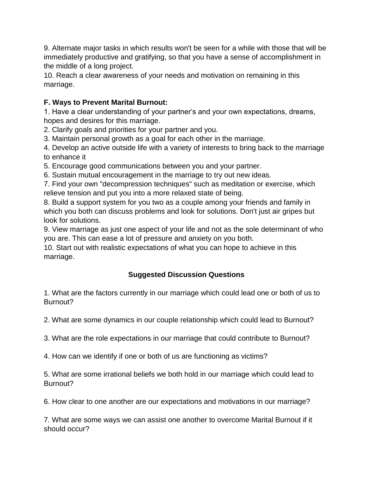9. Alternate major tasks in which results won't be seen for a while with those that will be immediately productive and gratifying, so that you have a sense of accomplishment in the middle of a long project.

10. Reach a clear awareness of your needs and motivation on remaining in this marriage.

## **F. Ways to Prevent Marital Burnout:**

1. Have a clear understanding of your partner's and your own expectations, dreams, hopes and desires for this marriage.

2. Clarify goals and priorities for your partner and you.

3. Maintain personal growth as a goal for each other in the marriage.

4. Develop an active outside life with a variety of interests to bring back to the marriage to enhance it

5. Encourage good communications between you and your partner.

6. Sustain mutual encouragement in the marriage to try out new ideas.

7. Find your own "decompression techniques" such as meditation or exercise, which relieve tension and put you into a more relaxed state of being.

8. Build a support system for you two as a couple among your friends and family in which you both can discuss problems and look for solutions. Don't just air gripes but look for solutions.

9. View marriage as just one aspect of your life and not as the sole determinant of who you are. This can ease a lot of pressure and anxiety on you both.

10. Start out with realistic expectations of what you can hope to achieve in this marriage.

# **Suggested Discussion Questions**

1. What are the factors currently in our marriage which could lead one or both of us to Burnout?

2. What are some dynamics in our couple relationship which could lead to Burnout?

3. What are the role expectations in our marriage that could contribute to Burnout?

4. How can we identify if one or both of us are functioning as victims?

5. What are some irrational beliefs we both hold in our marriage which could lead to Burnout?

6. How clear to one another are our expectations and motivations in our marriage?

7. What are some ways we can assist one another to overcome Marital Burnout if it should occur?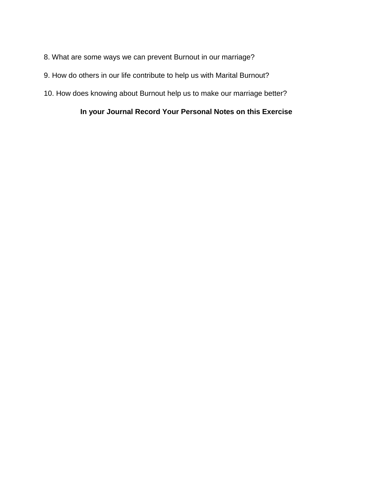- 8. What are some ways we can prevent Burnout in our marriage?
- 9. How do others in our life contribute to help us with Marital Burnout?
- 10. How does knowing about Burnout help us to make our marriage better?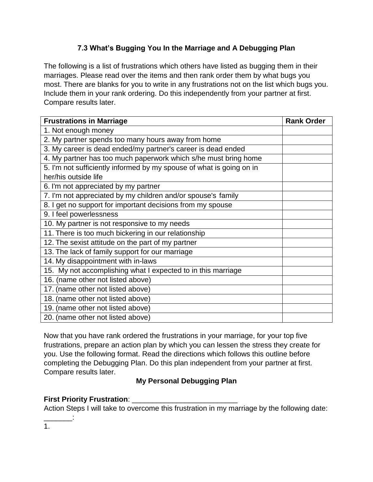# **7.3 What's Bugging You In the Marriage and A Debugging Plan**

The following is a list of frustrations which others have listed as bugging them in their marriages. Please read over the items and then rank order them by what bugs you most. There are blanks for you to write in any frustrations not on the list which bugs you. Include them in your rank ordering. Do this independently from your partner at first. Compare results later.

| <b>Frustrations in Marriage</b>                                      | <b>Rank Order</b> |
|----------------------------------------------------------------------|-------------------|
| 1. Not enough money                                                  |                   |
| 2. My partner spends too many hours away from home                   |                   |
| 3. My career is dead ended/my partner's career is dead ended         |                   |
| 4. My partner has too much paperwork which s/he must bring home      |                   |
| 5. I'm not sufficiently informed by my spouse of what is going on in |                   |
| her/his outside life                                                 |                   |
| 6. I'm not appreciated by my partner                                 |                   |
| 7. I'm not appreciated by my children and/or spouse's family         |                   |
| 8. I get no support for important decisions from my spouse           |                   |
| 9. I feel powerlessness                                              |                   |
| 10. My partner is not responsive to my needs                         |                   |
| 11. There is too much bickering in our relationship                  |                   |
| 12. The sexist attitude on the part of my partner                    |                   |
| 13. The lack of family support for our marriage                      |                   |
| 14. My disappointment with in-laws                                   |                   |
| 15. My not accomplishing what I expected to in this marriage         |                   |
| 16. (name other not listed above)                                    |                   |
| 17. (name other not listed above)                                    |                   |
| 18. (name other not listed above)                                    |                   |
| 19. (name other not listed above)                                    |                   |
| 20. (name other not listed above)                                    |                   |

Now that you have rank ordered the frustrations in your marriage, for your top five frustrations, prepare an action plan by which you can lessen the stress they create for you. Use the following format. Read the directions which follows this outline before completing the Debugging Plan. Do this plan independent from your partner at first. Compare results later.

## **My Personal Debugging Plan**

# **First Priority Frustration:**

Action Steps I will take to overcome this frustration in my marriage by the following date:

1.

\_\_\_\_\_\_\_: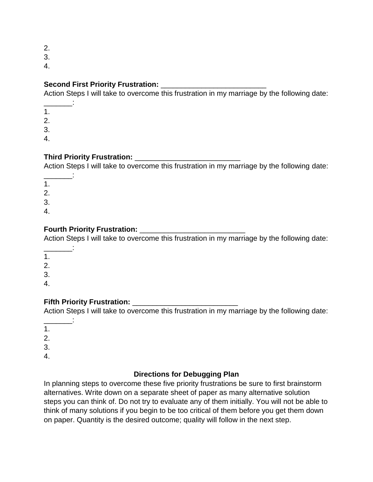2.

3.

4.

## **Second First Priority Frustration: We are all that the Second First Priority Frustration:**

Action Steps I will take to overcome this frustration in my marriage by the following date:

 $\sim$ 1. 2.

3.

4.

## **Third Priority Frustration:** \_\_\_\_\_\_\_\_\_\_\_\_\_\_\_\_\_\_\_\_\_\_\_\_\_\_

Action Steps I will take to overcome this frustration in my marriage by the following date:

\_\_\_\_\_\_\_: 1.

2.

3.

4.

# **Fourth Priority Frustration:** \_\_\_\_\_\_\_\_\_\_\_\_\_\_\_\_\_\_\_\_\_\_\_\_\_\_

Action Steps I will take to overcome this frustration in my marriage by the following date:

 $\frac{1}{2}$ 

1. 2.

3.

4.

## **Fifth Priority Frustration:** \_\_\_\_\_\_\_\_\_\_\_\_\_\_\_\_\_\_\_\_\_\_\_\_\_\_

Action Steps I will take to overcome this frustration in my marriage by the following date:

 $\sim$ 1.

2. 3.

4.

### **Directions for Debugging Plan**

In planning steps to overcome these five priority frustrations be sure to first brainstorm alternatives. Write down on a separate sheet of paper as many alternative solution steps you can think of. Do not try to evaluate any of them initially. You will not be able to think of many solutions if you begin to be too critical of them before you get them down on paper. Quantity is the desired outcome; quality will follow in the next step.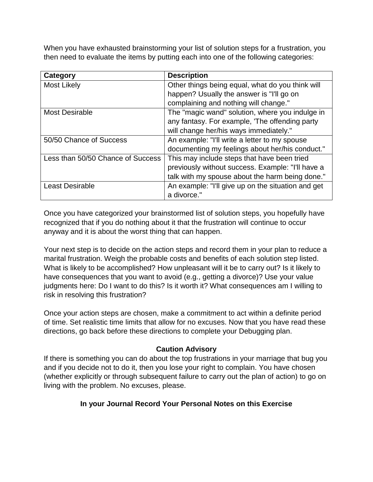When you have exhausted brainstorming your list of solution steps for a frustration, you then need to evaluate the items by putting each into one of the following categories:

| Category                          | <b>Description</b>                                 |
|-----------------------------------|----------------------------------------------------|
| <b>Most Likely</b>                | Other things being equal, what do you think will   |
|                                   | happen? Usually the answer is "I'll go on          |
|                                   | complaining and nothing will change."              |
| <b>Most Desirable</b>             | The "magic wand" solution, where you indulge in    |
|                                   | any fantasy. For example, 'The offending party     |
|                                   | will change her/his ways immediately."             |
| 50/50 Chance of Success           | An example: "I'll write a letter to my spouse      |
|                                   | documenting my feelings about her/his conduct."    |
| Less than 50/50 Chance of Success | This may include steps that have been tried        |
|                                   | previously without success. Example: "I'll have a  |
|                                   | talk with my spouse about the harm being done."    |
| <b>Least Desirable</b>            | An example: "I'll give up on the situation and get |
|                                   | a divorce."                                        |

Once you have categorized your brainstormed list of solution steps, you hopefully have recognized that if you do nothing about it that the frustration will continue to occur anyway and it is about the worst thing that can happen.

Your next step is to decide on the action steps and record them in your plan to reduce a marital frustration. Weigh the probable costs and benefits of each solution step listed. What is likely to be accomplished? How unpleasant will it be to carry out? Is it likely to have consequences that you want to avoid (e.g., getting a divorce)? Use your value judgments here: Do I want to do this? Is it worth it? What consequences am I willing to risk in resolving this frustration?

Once your action steps are chosen, make a commitment to act within a definite period of time. Set realistic time limits that allow for no excuses. Now that you have read these directions, go back before these directions to complete your Debugging plan.

### **Caution Advisory**

If there is something you can do about the top frustrations in your marriage that bug you and if you decide not to do it, then you lose your right to complain. You have chosen (whether explicitly or through subsequent failure to carry out the plan of action) to go on living with the problem. No excuses, please.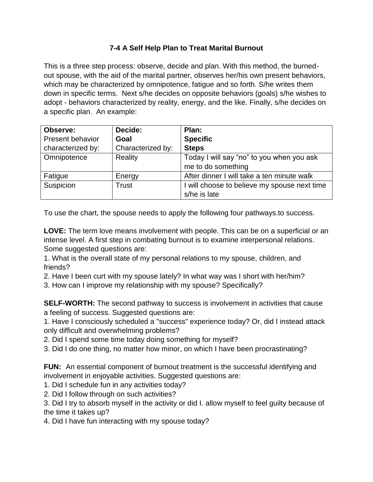## **7-4 A Self Help Plan to Treat Marital Burnout**

This is a three step process: observe, decide and plan. With this method, the burnedout spouse, with the aid of the marital partner, observes her/his own present behaviors, which may be characterized by omnipotence, fatigue and so forth. S/he writes them down in specific terms. Next s/he decides on opposite behaviors (goals) s/he wishes to adopt - behaviors characterized by reality, energy, and the like. Finally, s/he decides on a specific plan. An example:

| Observe:                | Decide:           | Plan:                                        |
|-------------------------|-------------------|----------------------------------------------|
| <b>Present behavior</b> | Goal              | <b>Specific</b>                              |
| characterized by:       | Characterized by: | <b>Steps</b>                                 |
| Omnipotence             | Reality           | Today I will say "no" to you when you ask    |
|                         |                   | me to do something                           |
| Fatigue                 | Energy            | After dinner I will take a ten minute walk   |
| Suspicion               | Trust             | I will choose to believe my spouse next time |
|                         |                   | s/he is late                                 |

To use the chart, the spouse needs to apply the following four pathways.to success.

**LOVE:** The term love means involvement with people. This can be on a superficial or an intense level. A first step in combating burnout is to examine interpersonal relations. Some suggested questions are:

1. What is the overall state of my personal relations to my spouse, children, and friends?

2. Have I been curt with my spouse lately? In what way was I short with her/him?

3. How can I improve my relationship with my spouse? Specifically?

**SELF-WORTH:** The second pathway to success is involvement in activities that cause a feeling of success. Suggested questions are:

1. Have I consciously scheduled a "success" experience today? Or, did I instead attack only difficult and overwhelming problems?

2. Did I spend some time today doing something for myself?

3. Did I do one thing, no matter how minor, on which I have been procrastinating?

**FUN:** An essential component of burnout treatment is the successful identifying and involvement in enjoyable activities. Suggested questions are:

1. Did I schedule fun in any activities today?

2. Did I follow through on such activities?

3. Did I try to absorb myself in the activity or did I. allow myself to feel guilty because of the time it takes up?

4. Did I have fun interacting with my spouse today?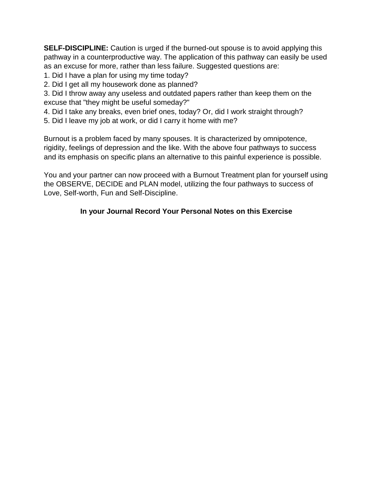**SELF-DISCIPLINE:** Caution is urged if the burned-out spouse is to avoid applying this pathway in a counterproductive way. The application of this pathway can easily be used as an excuse for more, rather than less failure. Suggested questions are:

- 1. Did I have a plan for using my time today?
- 2. Did I get all my housework done as planned?

3. Did I throw away any useless and outdated papers rather than keep them on the excuse that "they might be useful someday?"

- 4. Did I take any breaks, even brief ones, today? Or, did I work straight through?
- 5. Did I leave my job at work, or did I carry it home with me?

Burnout is a problem faced by many spouses. It is characterized by omnipotence, rigidity, feelings of depression and the like. With the above four pathways to success and its emphasis on specific plans an alternative to this painful experience is possible.

You and your partner can now proceed with a Burnout Treatment plan for yourself using the OBSERVE, DECIDE and PLAN model, utilizing the four pathways to success of Love, Self-worth, Fun and Self-Discipline.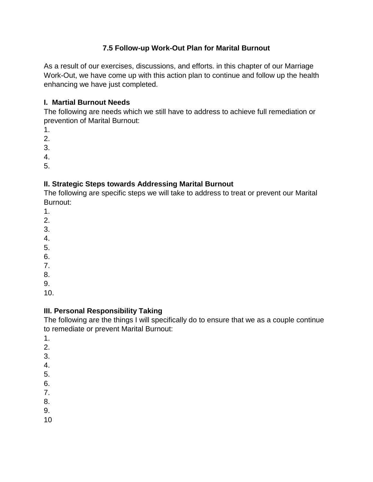## **7.5 Follow-up Work-Out Plan for Marital Burnout**

As a result of our exercises, discussions, and efforts. in this chapter of our Marriage Work-Out, we have come up with this action plan to continue and follow up the health enhancing we have just completed.

### **I. Martial Burnout Needs**

The following are needs which we still have to address to achieve full remediation or prevention of Marital Burnout:

- 1.
- 2.
- 3.

4.

5.

## **II. Strategic Steps towards Addressing Marital Burnout**

The following are specific steps we will take to address to treat or prevent our Marital Burnout:

- 1.
- 2.
- 3.
- 4.
- 5.
- 6.
- 7.
- 8.
- 9.
- 10.

# **III. Personal Responsibility Taking**

The following are the things I will specifically do to ensure that we as a couple continue to remediate or prevent Marital Burnout:

- 1.
- 2.
- 3.
- 4.
- 5.
- 6.
- 7.
- 8.
- 9.
- 10